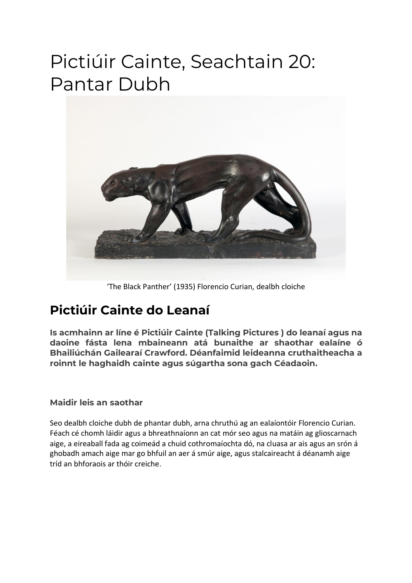## Pictiúir Cainte, Seachtain 20: Pantar Dubh



'The Black Panther' (1935) Florencio Curian, dealbh cloiche

### **Pictiúir Cainte do Leanaí**

**Is acmhainn ar líne é Pictiúir Cainte (Talking Pictures ) do leanaí agus na daoine fásta lena mbaineann atá bunaithe ar shaothar ealaíne ó Bhailiúchán Gailearaí Crawford. Déanfaimid leideanna cruthaitheacha a roinnt le haghaidh cainte agus súgartha sona gach Céadaoin.**

#### **Maidir leis an saothar**

Seo dealbh cloiche dubh de phantar dubh, arna chruthú ag an ealaíontóir Florencio Curian. Féach cé chomh láidir agus a bhreathnaíonn an cat mór seo agus na matáin ag glioscarnach aige, a eireaball fada ag coimeád a chuid cothromaíochta dó, na cluasa ar ais agus an srón á ghobadh amach aige mar go bhfuil an aer á smúr aige, agus stalcaireacht á déanamh aige tríd an bhforaois ar thóir creiche.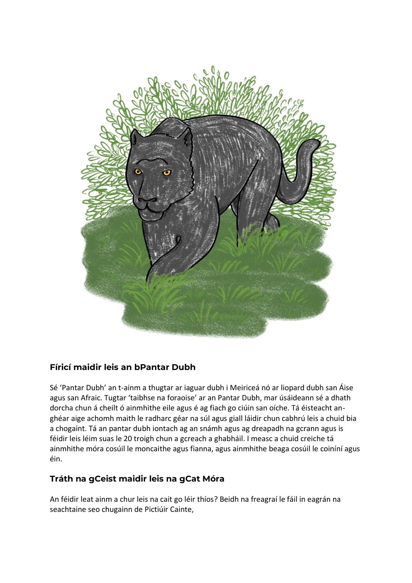

#### **Fíricí maidir leis an bPantar Dubh**

Sé 'Pantar Dubh' an t-ainm a thugtar ar iaguar dubh i Meiriceá nó ar liopard dubh san Áise agus san Afraic. Tugtar 'taibhse na foraoise' ar an Pantar Dubh, mar úsáideann sé a dhath dorcha chun á cheilt ó ainmhithe eile agus é ag fiach go ciúin san oíche. Tá éisteacht anghéar aige achomh maith le radharc géar na súl agus giall láidir chun cabhrú leis a chuid bia a chogaint. Tá an pantar dubh iontach ag an snámh agus ag dreapadh na gcrann agus is féidir leis léim suas le 20 troigh chun a gcreach a ghabháil. I measc a chuid creiche tá ainmhithe móra cosúil le moncaithe agus fianna, agus ainmhithe beaga cosúil le coiníní agus éin.

#### **Tráth na gCeist maidir leis na gCat Móra**

An féidir leat ainm a chur leis na cait go léir thíos? Beidh na freagraí le fáil in eagrán na seachtaine seo chugainn de Pictiúir Cainte,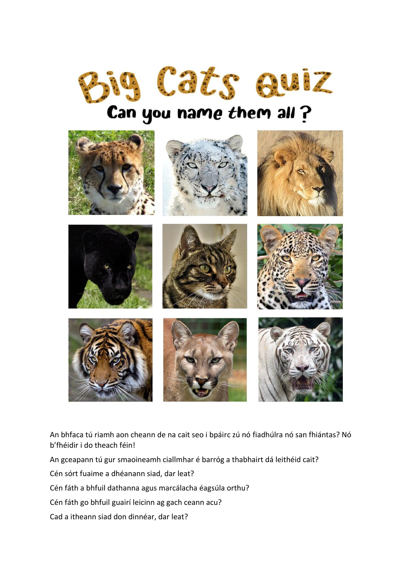

# Can you name them all ?



An bhfaca tú riamh aon cheann de na cait seo i bpáirc zú nó fiadhúlra nó san fhiántas? Nó b'fhéidir i do theach féin!

An gceapann tú gur smaoineamh ciallmhar é barróg a thabhairt dá leithéid cait?

Cén sórt fuaime a dhéanann siad, dar leat?

Cén fáth a bhfuil dathanna agus marcálacha éagsúla orthu?

Cén fáth go bhfuil guairí leicinn ag gach ceann acu?

Cad a itheann siad don dinnéar, dar leat?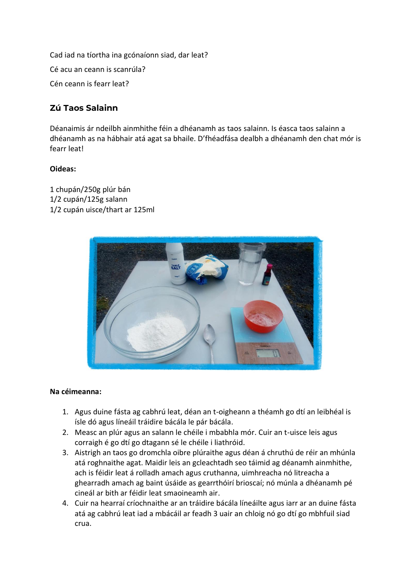Cad iad na tíortha ina gcónaíonn siad, dar leat? Cé acu an ceann is scanrúla? Cén ceann is fearr leat?

#### **Zú Taos Salainn**

Déanaimis ár ndeilbh ainmhithe féin a dhéanamh as taos salainn. Is éasca taos salainn a dhéanamh as na hábhair atá agat sa bhaile. D'fhéadfása dealbh a dhéanamh den chat mór is fearr leat!

#### **Oideas:**

1 chupán/250g plúr bán 1/2 cupán/125g salann 1/2 cupán uisce/thart ar 125ml



#### **Na céimeanna:**

- 1. Agus duine fásta ag cabhrú leat, déan an t-oigheann a théamh go dtí an leibhéal is ísle dó agus líneáil tráidire bácála le pár bácála.
- 2. Measc an plúr agus an salann le chéile i mbabhla mór. Cuir an t-uisce leis agus corraigh é go dtí go dtagann sé le chéile i liathróid.
- 3. Aistrigh an taos go dromchla oibre plúraithe agus déan á chruthú de réir an mhúnla atá roghnaithe agat. Maidir leis an gcleachtadh seo táimid ag déanamh ainmhithe, ach is féidir leat á rolladh amach agus cruthanna, uimhreacha nó litreacha a ghearradh amach ag baint úsáide as gearrthóirí brioscaí; nó múnla a dhéanamh pé cineál ar bith ar féidir leat smaoineamh air.
- 4. Cuir na hearraí críochnaithe ar an tráidire bácála líneáilte agus iarr ar an duine fásta atá ag cabhrú leat iad a mbácáil ar feadh 3 uair an chloig nó go dtí go mbhfuil siad crua.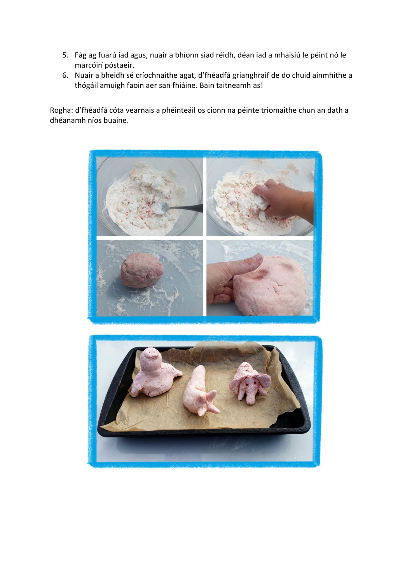- 5. Fág ag fuarú iad agus, nuair a bhíonn siad réidh, déan iad a mhaisiú le péint nó le marcóirí póstaeir.
- 6. Nuair a bheidh sé críochnaithe agat, d'fhéadfá grianghraif de do chuid ainmhithe a thógáil amuigh faoin aer san fhiáine. Bain taitneamh as!

Rogha: d'fhéadfá cóta vearnais a phéinteáil os cionn na péinte triomaithe chun an dath a dhéanamh níos buaine.